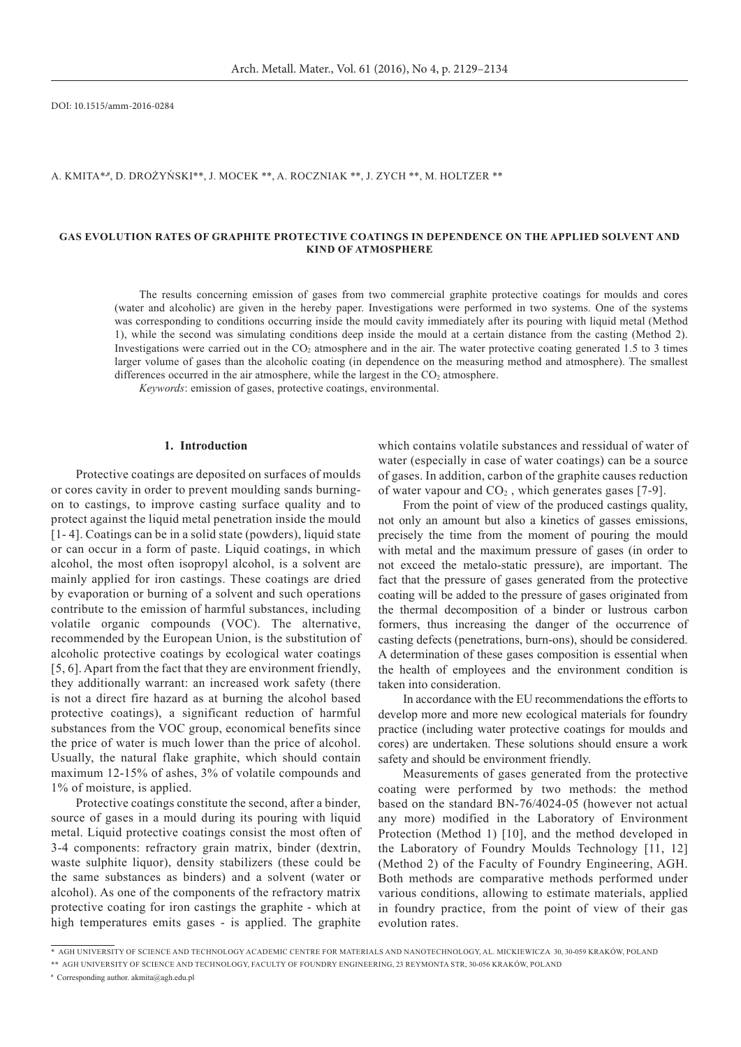DOI: 10.1515/amm-2016-0284

A. Kmita\***,#**, D. Drożyński\*\*, J. Mocek \*\*, A. Roczniak \*\*, J. Zych \*\*, M. Holtzer \*\*

### **GAS EVOLUTION RATES OF GRAPHITE PROTECTIVE COATINGS IN DEPENDENCE ON THE APPLIED SOLVENT AND KIND OF ATMOSPHERE**

The results concerning emission of gases from two commercial graphite protective coatings for moulds and cores (water and alcoholic) are given in the hereby paper. Investigations were performed in two systems. One of the systems was corresponding to conditions occurring inside the mould cavity immediately after its pouring with liquid metal (Method 1), while the second was simulating conditions deep inside the mould at a certain distance from the casting (Method 2). Investigations were carried out in the  $CO<sub>2</sub>$  atmosphere and in the air. The water protective coating generated 1.5 to 3 times larger volume of gases than the alcoholic coating (in dependence on the measuring method and atmosphere). The smallest differences occurred in the air atmosphere, while the largest in the  $CO<sub>2</sub>$  atmosphere.

*Keywords*: emission of gases, protective coatings, environmental.

## **1. Introduction**

Protective coatings are deposited on surfaces of moulds or cores cavity in order to prevent moulding sands burningon to castings, to improve casting surface quality and to protect against the liquid metal penetration inside the mould [1- 4]. Coatings can be in a solid state (powders), liquid state or can occur in a form of paste. Liquid coatings, in which alcohol, the most often isopropyl alcohol, is a solvent are mainly applied for iron castings. These coatings are dried by evaporation or burning of a solvent and such operations contribute to the emission of harmful substances, including volatile organic compounds (VOC). The alternative, recommended by the European Union, is the substitution of alcoholic protective coatings by ecological water coatings [5, 6]. Apart from the fact that they are environment friendly, they additionally warrant: an increased work safety (there is not a direct fire hazard as at burning the alcohol based protective coatings), a significant reduction of harmful substances from the VOC group, economical benefits since the price of water is much lower than the price of alcohol. Usually, the natural flake graphite, which should contain maximum 12-15% of ashes, 3% of volatile compounds and 1% of moisture, is applied.

Protective coatings constitute the second, after a binder, source of gases in a mould during its pouring with liquid metal. Liquid protective coatings consist the most often of 3-4 components: refractory grain matrix, binder (dextrin, waste sulphite liquor), density stabilizers (these could be the same substances as binders) and a solvent (water or alcohol). As one of the components of the refractory matrix protective coating for iron castings the graphite - which at high temperatures emits gases - is applied. The graphite which contains volatile substances and ressidual of water of water (especially in case of water coatings) can be a source of gases. In addition, carbon of the graphite causes reduction of water vapour and  $CO<sub>2</sub>$ , which generates gases [7-9].

From the point of view of the produced castings quality, not only an amount but also a kinetics of gasses emissions, precisely the time from the moment of pouring the mould with metal and the maximum pressure of gases (in order to not exceed the metalo-static pressure), are important. The fact that the pressure of gases generated from the protective coating will be added to the pressure of gases originated from the thermal decomposition of a binder or lustrous carbon formers, thus increasing the danger of the occurrence of casting defects (penetrations, burn-ons), should be considered. A determination of these gases composition is essential when the health of employees and the environment condition is taken into consideration.

In accordance with the EU recommendations the efforts to develop more and more new ecological materials for foundry practice (including water protective coatings for moulds and cores) are undertaken. These solutions should ensure a work safety and should be environment friendly.

Measurements of gases generated from the protective coating were performed by two methods: the method based on the standard BN-76/4024-05 (however not actual any more) modified in the Laboratory of Environment Protection (Method 1) [10], and the method developed in the Laboratory of Foundry Moulds Technology [11, 12] (Method 2) of the Faculty of Foundry Engineering, AGH. Both methods are comparative methods performed under various conditions, allowing to estimate materials, applied in foundry practice, from the point of view of their gas evolution rates.

**#** Corresponding author. akmita@agh.edu.pl

<sup>\*</sup>AGH University of Science and Technology Academic Centre for Materials and Nanotechnology, Al. Mickiewicza 30, 30-059 Kraków, Poland

<sup>\*\*</sup>AGH University of Science and Technology, Faculty of Foundry Engineering, 23 Reymonta Str, 30-056 Kraków, Poland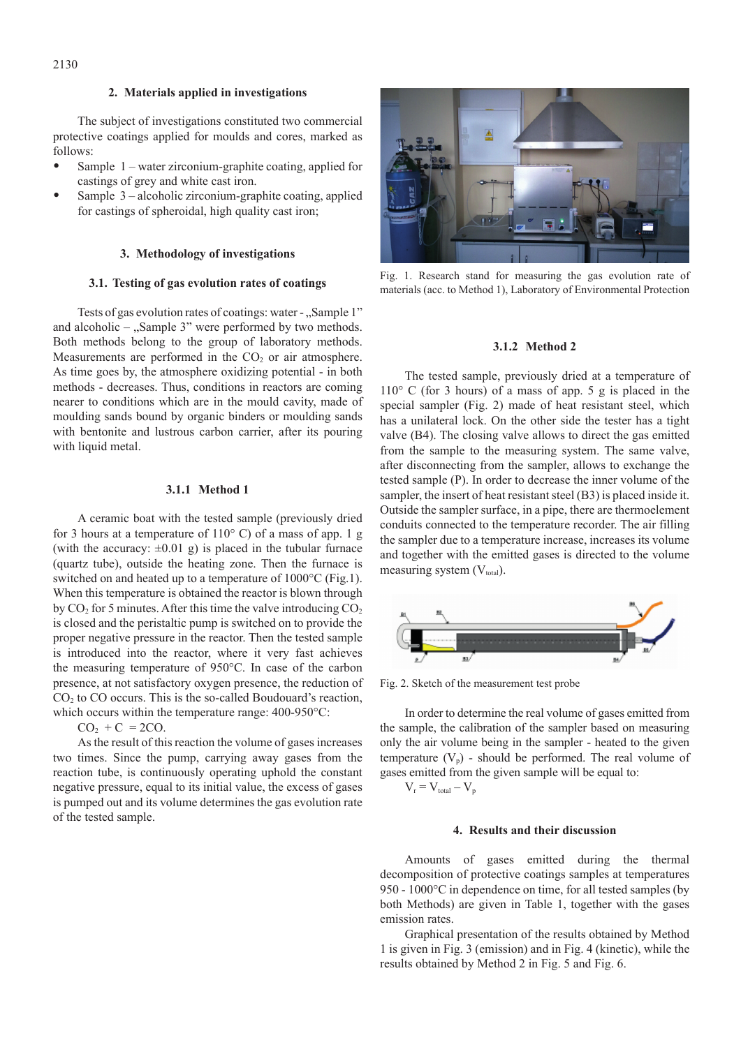## **2. Materials applied in investigations**

The subject of investigations constituted two commercial protective coatings applied for moulds and cores, marked as follows:

- Sample  $1$  water zirconium-graphite coating, applied for castings of grey and white cast iron.
- Sample  $3$  alcoholic zirconium-graphite coating, applied for castings of spheroidal, high quality cast iron;

### **3. Methodology of investigations**

## **3.1. Testing of gas evolution rates of coatings**

Tests of gas evolution rates of coatings: water - "Sample 1" and alcoholic  $-$  "Sample 3" were performed by two methods. Both methods belong to the group of laboratory methods. Measurements are performed in the  $CO<sub>2</sub>$  or air atmosphere. As time goes by, the atmosphere oxidizing potential - in both methods - decreases. Thus, conditions in reactors are coming nearer to conditions which are in the mould cavity, made of moulding sands bound by organic binders or moulding sands with bentonite and lustrous carbon carrier, after its pouring with liquid metal.

# **3.1.1 Method 1**

A ceramic boat with the tested sample (previously dried for 3 hours at a temperature of  $110^{\circ}$  C) of a mass of app. 1 g (with the accuracy:  $\pm 0.01$  g) is placed in the tubular furnace (quartz tube), outside the heating zone. Then the furnace is switched on and heated up to a temperature of 1000°C (Fig.1). When this temperature is obtained the reactor is blown through by  $CO_2$  for 5 minutes. After this time the valve introducing  $CO_2$ is closed and the peristaltic pump is switched on to provide the proper negative pressure in the reactor. Then the tested sample is introduced into the reactor, where it very fast achieves the measuring temperature of 950°C. In case of the carbon presence, at not satisfactory oxygen presence, the reduction of  $CO<sub>2</sub>$  to  $CO$  occurs. This is the so-called Boudouard's reaction, which occurs within the temperature range: 400-950°C:

 $CO<sub>2</sub> + C = 2CO.$ 

As the result of this reaction the volume of gases increases two times. Since the pump, carrying away gases from the reaction tube, is continuously operating uphold the constant negative pressure, equal to its initial value, the excess of gases is pumped out and its volume determines the gas evolution rate of the tested sample.



Fig. 1. Research stand for measuring the gas evolution rate of materials (acc. to Method 1), Laboratory of Environmental Protection

### **3.1.2 Method 2**

The tested sample, previously dried at a temperature of  $110^{\circ}$  C (for 3 hours) of a mass of app. 5 g is placed in the special sampler (Fig. 2) made of heat resistant steel, which has a unilateral lock. On the other side the tester has a tight valve (B4). The closing valve allows to direct the gas emitted from the sample to the measuring system. The same valve, after disconnecting from the sampler, allows to exchange the tested sample (P). In order to decrease the inner volume of the sampler, the insert of heat resistant steel (B3) is placed inside it. Outside the sampler surface, in a pipe, there are thermoelement conduits connected to the temperature recorder. The air filling the sampler due to a temperature increase, increases its volume and together with the emitted gases is directed to the volume measuring system  $(V_{total})$ .



Fig. 2. Sketch of the measurement test probe

In order to determine the real volume of gases emitted from the sample, the calibration of the sampler based on measuring only the air volume being in the sampler - heated to the given temperature  $(V_p)$  - should be performed. The real volume of gases emitted from the given sample will be equal to:

## $V_r = V_{total} - V_p$

## **4. Results and their discussion**

Amounts of gases emitted during the thermal decomposition of protective coatings samples at temperatures 950 - 1000°C in dependence on time, for all tested samples (by both Methods) are given in Table 1, together with the gases emission rates.

Graphical presentation of the results obtained by Method 1 is given in Fig. 3 (emission) and in Fig. 4 (kinetic), while the results obtained by Method 2 in Fig. 5 and Fig. 6.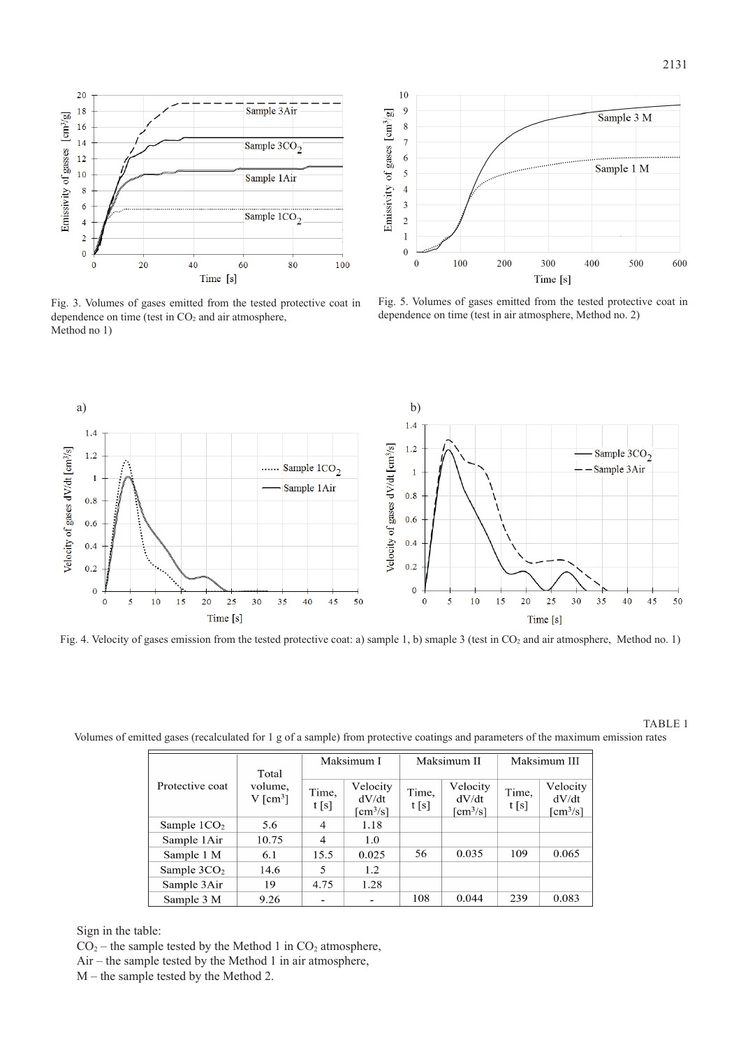

Fig. 3. Volumes of gases emitted from the tested protective coat in dependence on time (test in  $CO<sub>2</sub>$  and air atmosphere, Method no 1)



Fig. 5. Volumes of gases emitted from the tested protective coat in dependence on time (test in air atmosphere, Method no. 2)



Fig. 4. Velocity of gases emission from the tested protective coat: a) sample 1, b) smaple 3 (test in CO<sub>2</sub> and air atmosphere, Method no. 1)

TABLE 1

Volumes of emitted gases (recalculated for 1 g of a sample) from protective coatings and parameters of the maximum emission rates

| Protective coat         | Total<br>volume,<br>$V$ [cm <sup>3</sup> ] | Maksimum I     |                                             | Maksimum II   |                                             | Maksimum III  |                                                           |
|-------------------------|--------------------------------------------|----------------|---------------------------------------------|---------------|---------------------------------------------|---------------|-----------------------------------------------------------|
|                         |                                            | Time,<br>t[s]  | Velocity<br>dV/dt<br>$\text{cm}^3/\text{s}$ | Time,<br>t[s] | Velocity<br>dV/dt<br>$\text{cm}^3/\text{s}$ | Time,<br>t[s] | Velocity<br>dV/dt<br>$\lceil \text{cm}^3/\text{s} \rceil$ |
| Sample $1CO2$           | 5.6                                        | $\overline{4}$ | 1.18                                        |               |                                             |               |                                                           |
| Sample 1Air             | 10.75                                      | $\overline{4}$ | 1.0                                         |               |                                             |               |                                                           |
| Sample 1 M              | 6.1                                        | 15.5           | 0.025                                       | 56            | 0.035                                       | 109           | 0.065                                                     |
| Sample 3CO <sub>2</sub> | 14.6                                       | 5              | 1.2                                         |               |                                             |               |                                                           |
| Sample 3Air             | 19                                         | 4.75           | 1.28                                        |               |                                             |               |                                                           |
| Sample 3 M              | 9.26                                       |                |                                             | 108           | 0.044                                       | 239           | 0.083                                                     |

Sign in the table:

 $CO<sub>2</sub>$  – the sample tested by the Method 1 in  $CO<sub>2</sub>$  atmosphere,

Air – the sample tested by the Method 1 in air atmosphere,

M – the sample tested by the Method 2.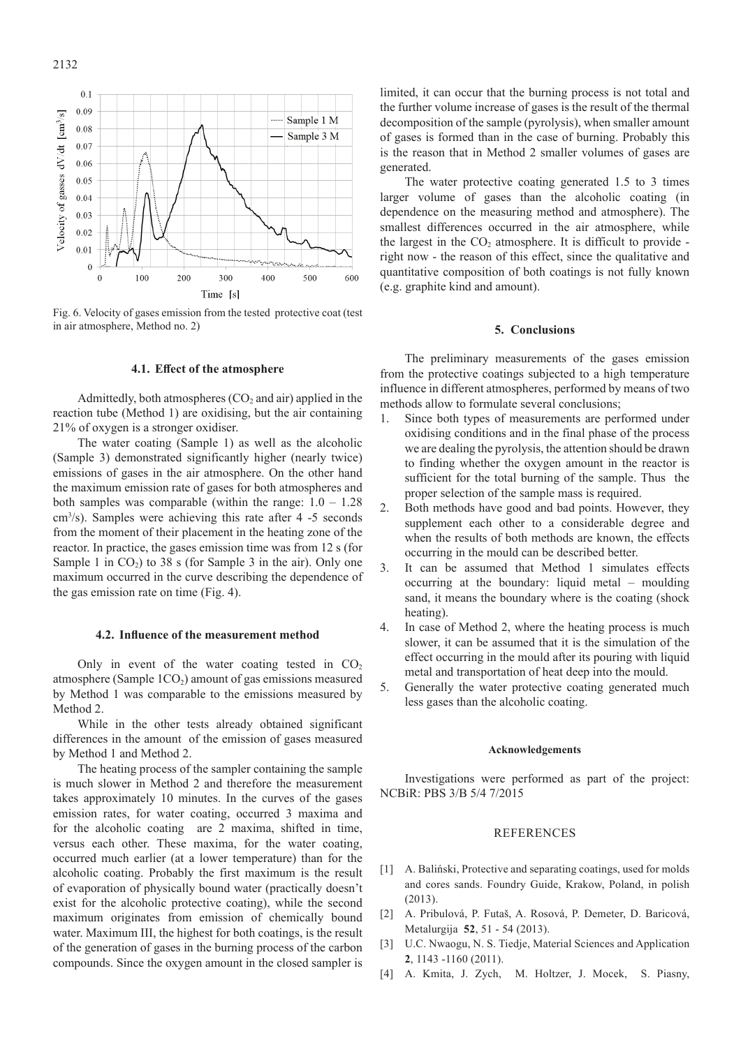

Fig. 6. Velocity of gases emission from the tested protective coat (test in air atmosphere, Method no. 2)

### **4.1. Effect of the atmosphere**

Admittedly, both atmospheres  $(CO_2$  and air) applied in the reaction tube (Method 1) are oxidising, but the air containing 21% of oxygen is a stronger oxidiser.

The water coating (Sample 1) as well as the alcoholic (Sample 3) demonstrated significantly higher (nearly twice) emissions of gases in the air atmosphere. On the other hand the maximum emission rate of gases for both atmospheres and both samples was comparable (within the range:  $1.0 - 1.28$ ) cm3 /s). Samples were achieving this rate after 4 -5 seconds from the moment of their placement in the heating zone of the reactor. In practice, the gases emission time was from 12 s (for Sample 1 in  $CO<sub>2</sub>$ ) to 38 s (for Sample 3 in the air). Only one maximum occurred in the curve describing the dependence of the gas emission rate on time (Fig. 4).

## **4.2. Influence of the measurement method**

Only in event of the water coating tested in  $CO<sub>2</sub>$ atmosphere (Sample  $1CO<sub>2</sub>$ ) amount of gas emissions measured by Method 1 was comparable to the emissions measured by Method 2.

While in the other tests already obtained significant differences in the amount of the emission of gases measured by Method 1 and Method 2.

The heating process of the sampler containing the sample is much slower in Method 2 and therefore the measurement takes approximately 10 minutes. In the curves of the gases emission rates, for water coating, occurred 3 maxima and for the alcoholic coating are 2 maxima, shifted in time, versus each other. These maxima, for the water coating, occurred much earlier (at a lower temperature) than for the alcoholic coating. Probably the first maximum is the result of evaporation of physically bound water (practically doesn't exist for the alcoholic protective coating), while the second maximum originates from emission of chemically bound water. Maximum III, the highest for both coatings, is the result of the generation of gases in the burning process of the carbon compounds. Since the oxygen amount in the closed sampler is

limited, it can occur that the burning process is not total and the further volume increase of gases is the result of the thermal decomposition of the sample (pyrolysis), when smaller amount of gases is formed than in the case of burning. Probably this is the reason that in Method 2 smaller volumes of gases are generated.

The water protective coating generated 1.5 to 3 times larger volume of gases than the alcoholic coating (in dependence on the measuring method and atmosphere). The smallest differences occurred in the air atmosphere, while the largest in the  $CO<sub>2</sub>$  atmosphere. It is difficult to provide right now - the reason of this effect, since the qualitative and quantitative composition of both coatings is not fully known (e.g. graphite kind and amount).

### **5. Conclusions**

The preliminary measurements of the gases emission from the protective coatings subjected to a high temperature influence in different atmospheres, performed by means of two methods allow to formulate several conclusions;

- 1. Since both types of measurements are performed under oxidising conditions and in the final phase of the process we are dealing the pyrolysis, the attention should be drawn to finding whether the oxygen amount in the reactor is sufficient for the total burning of the sample. Thus the proper selection of the sample mass is required.
- 2. Both methods have good and bad points. However, they supplement each other to a considerable degree and when the results of both methods are known, the effects occurring in the mould can be described better.
- 3. It can be assumed that Method 1 simulates effects  $\alpha$  occurring at the boundary: liquid metal – moulding sand, it means the boundary where is the coating (shock heating).
- 4. In case of Method 2, where the heating process is much slower, it can be assumed that it is the simulation of the effect occurring in the mould after its pouring with liquid metal and transportation of heat deep into the mould.
- 5. Generally the water protective coating generated much less gases than the alcoholic coating.

#### **Acknowledgements**

Investigations were performed as part of the project: NCBiR: PBS 3/B 5/4 7/2015

### **REFERENCES**

- [1] A. Baliński, Protective and separating coatings, used for molds and cores sands. Foundry Guide, Krakow, Poland, in polish (2013).
- [2] A. Pribulová, P. Futaš, A. Rosová, P. Demeter, D. Baricová, Metalurgija **52**, 51 - 54 (2013).
- [3] U.C. Nwaogu, N. S. Tiedje, Material Sciences and Application **2**, 1143 -1160 (2011).
- [4] A. Kmita, J. Zych, M. Holtzer, J. Mocek, S. Piasny,